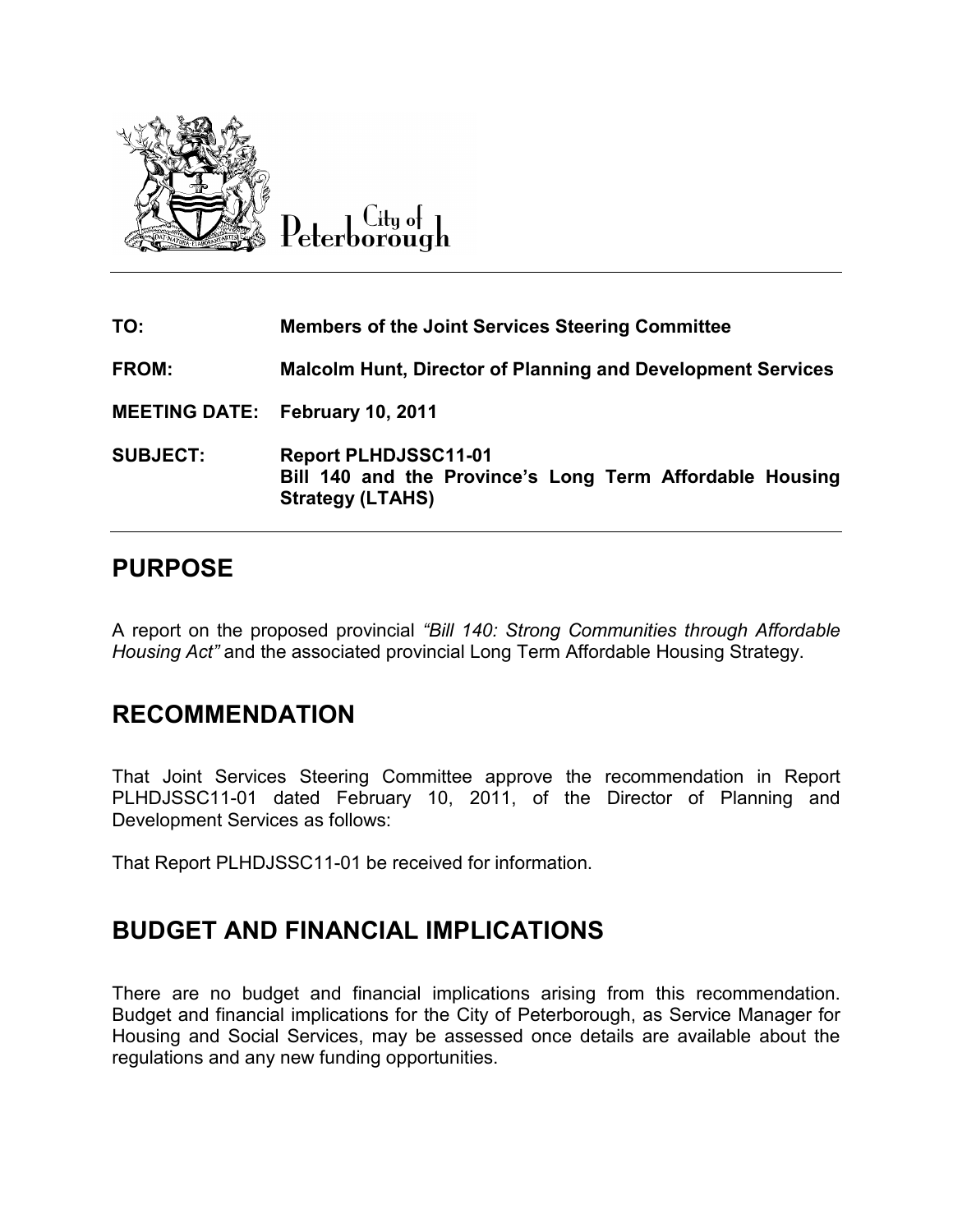

City of Peterborough

| TO:             | <b>Members of the Joint Services Steering Committee</b>                                                            |  |  |
|-----------------|--------------------------------------------------------------------------------------------------------------------|--|--|
| FROM:           | <b>Malcolm Hunt, Director of Planning and Development Services</b>                                                 |  |  |
|                 | <b>MEETING DATE: February 10, 2011</b>                                                                             |  |  |
| <b>SUBJECT:</b> | <b>Report PLHDJSSC11-01</b><br>Bill 140 and the Province's Long Term Affordable Housing<br><b>Strategy (LTAHS)</b> |  |  |

# **PURPOSE**

A report on the proposed provincial *"Bill 140: Strong Communities through Affordable Housing Act"* and the associated provincial Long Term Affordable Housing Strategy.

# **RECOMMENDATION**

That Joint Services Steering Committee approve the recommendation in Report PLHDJSSC11-01 dated February 10, 2011, of the Director of Planning and Development Services as follows:

That Report PLHDJSSC11-01 be received for information.

# **BUDGET AND FINANCIAL IMPLICATIONS**

There are no budget and financial implications arising from this recommendation. Budget and financial implications for the City of Peterborough, as Service Manager for Housing and Social Services, may be assessed once details are available about the regulations and any new funding opportunities.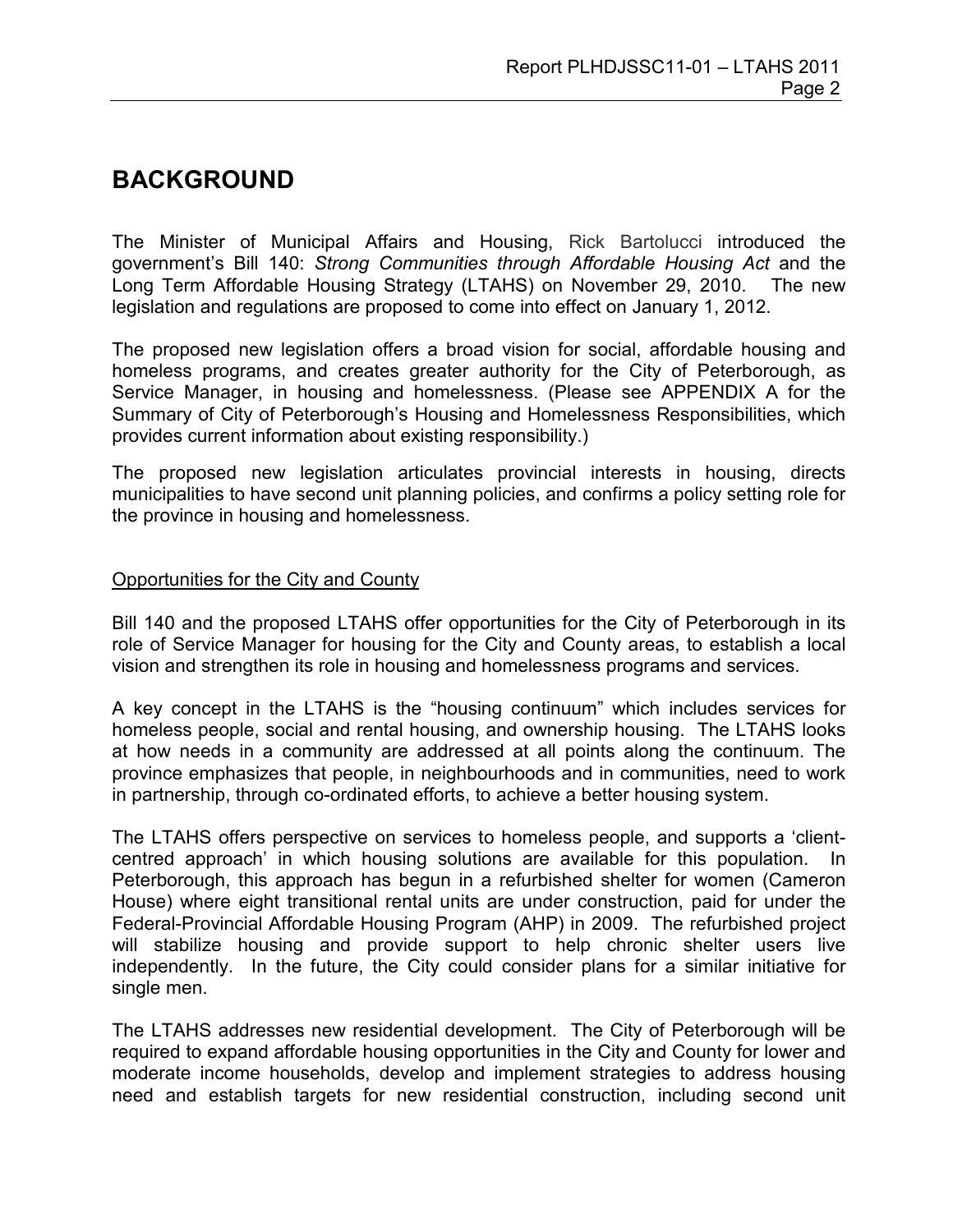## **BACKGROUND**

The Minister of Municipal Affairs and Housing, Rick Bartolucci introduced the government's Bill 140: *Strong Communities through Affordable Housing Act* and the Long Term Affordable Housing Strategy (LTAHS) on November 29, 2010. The new legislation and regulations are proposed to come into effect on January 1, 2012.

The proposed new legislation offers a broad vision for social, affordable housing and homeless programs, and creates greater authority for the City of Peterborough, as Service Manager, in housing and homelessness. (Please see APPENDIX A for the Summary of City of Peterborough's Housing and Homelessness Responsibilities, which provides current information about existing responsibility.)

The proposed new legislation articulates provincial interests in housing, directs municipalities to have second unit planning policies, and confirms a policy setting role for the province in housing and homelessness.

#### Opportunities for the City and County

Bill 140 and the proposed LTAHS offer opportunities for the City of Peterborough in its role of Service Manager for housing for the City and County areas, to establish a local vision and strengthen its role in housing and homelessness programs and services.

A key concept in the LTAHS is the "housing continuum" which includes services for homeless people, social and rental housing, and ownership housing. The LTAHS looks at how needs in a community are addressed at all points along the continuum. The province emphasizes that people, in neighbourhoods and in communities, need to work in partnership, through co-ordinated efforts, to achieve a better housing system.

The LTAHS offers perspective on services to homeless people, and supports a 'clientcentred approach' in which housing solutions are available for this population. In Peterborough, this approach has begun in a refurbished shelter for women (Cameron House) where eight transitional rental units are under construction, paid for under the Federal-Provincial Affordable Housing Program (AHP) in 2009. The refurbished project will stabilize housing and provide support to help chronic shelter users live independently. In the future, the City could consider plans for a similar initiative for single men.

The LTAHS addresses new residential development. The City of Peterborough will be required to expand affordable housing opportunities in the City and County for lower and moderate income households, develop and implement strategies to address housing need and establish targets for new residential construction, including second unit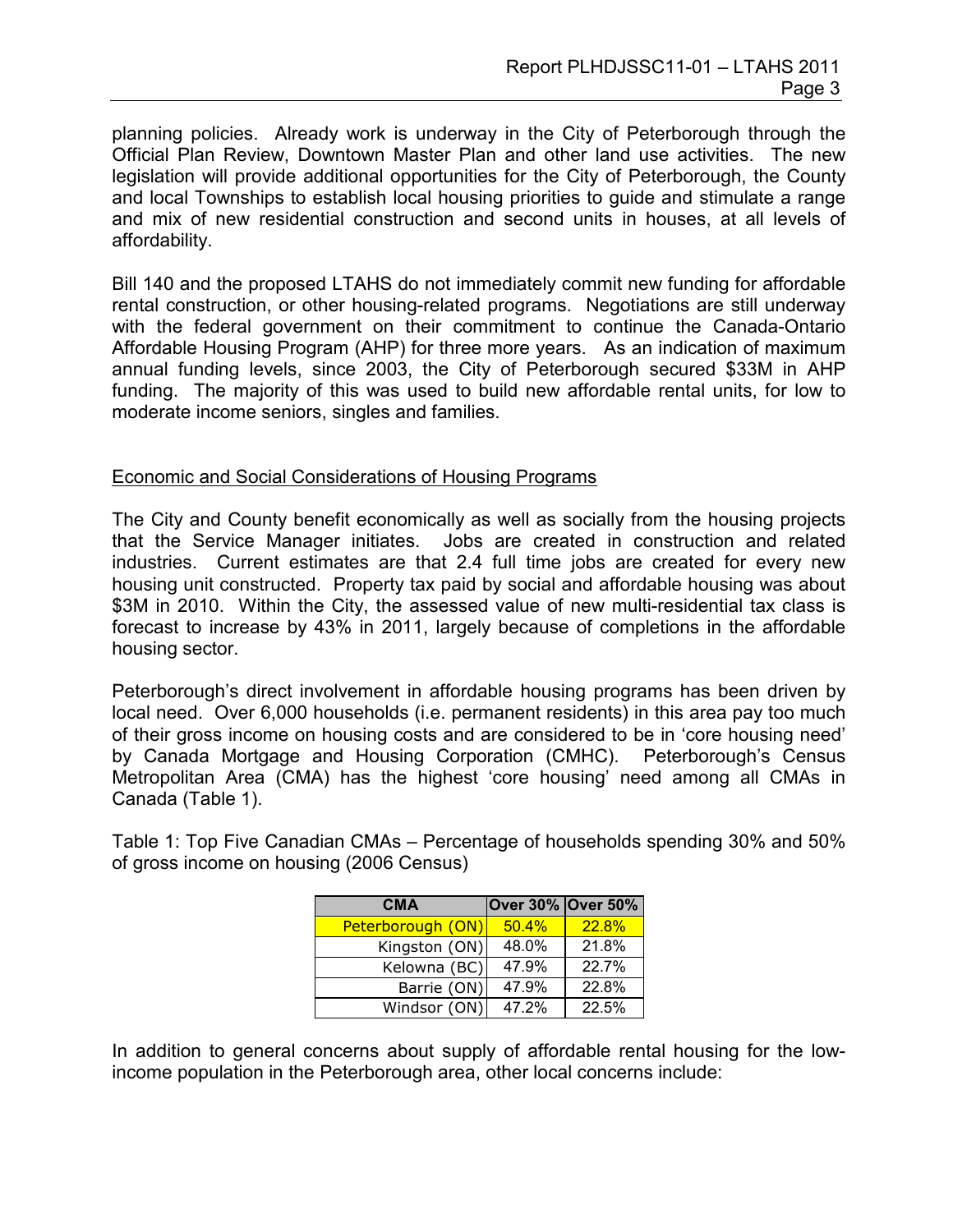planning policies. Already work is underway in the City of Peterborough through the Official Plan Review, Downtown Master Plan and other land use activities. The new legislation will provide additional opportunities for the City of Peterborough, the County and local Townships to establish local housing priorities to guide and stimulate a range and mix of new residential construction and second units in houses, at all levels of affordability.

Bill 140 and the proposed LTAHS do not immediately commit new funding for affordable rental construction, or other housing-related programs. Negotiations are still underway with the federal government on their commitment to continue the Canada-Ontario Affordable Housing Program (AHP) for three more years. As an indication of maximum annual funding levels, since 2003, the City of Peterborough secured \$33M in AHP funding. The majority of this was used to build new affordable rental units, for low to moderate income seniors, singles and families.

#### Economic and Social Considerations of Housing Programs

The City and County benefit economically as well as socially from the housing projects that the Service Manager initiates. Jobs are created in construction and related industries. Current estimates are that 2.4 full time jobs are created for every new housing unit constructed. Property tax paid by social and affordable housing was about \$3M in 2010. Within the City, the assessed value of new multi-residential tax class is forecast to increase by 43% in 2011, largely because of completions in the affordable housing sector.

Peterborough's direct involvement in affordable housing programs has been driven by local need. Over 6,000 households (i.e. permanent residents) in this area pay too much of their gross income on housing costs and are considered to be in 'core housing need' by Canada Mortgage and Housing Corporation (CMHC). Peterborough's Census Metropolitan Area (CMA) has the highest 'core housing' need among all CMAs in Canada (Table 1).

Table 1: Top Five Canadian CMAs – Percentage of households spending 30% and 50% of gross income on housing (2006 Census)

| <b>CMA</b>        | Over 30% Over 50% |                     |
|-------------------|-------------------|---------------------|
| Peterborough (ON) | 50.4%             | 22.8%               |
| Kingston (ON)     | 48.0%             | 21.8%               |
| Kelowna (BC)      | 47.9%             | 22.7%               |
| Barrie (ON)       | 47.9%             | 22.8%               |
| Windsor (ON)      | 47.2%             | $\overline{22.5\%}$ |

In addition to general concerns about supply of affordable rental housing for the lowincome population in the Peterborough area, other local concerns include: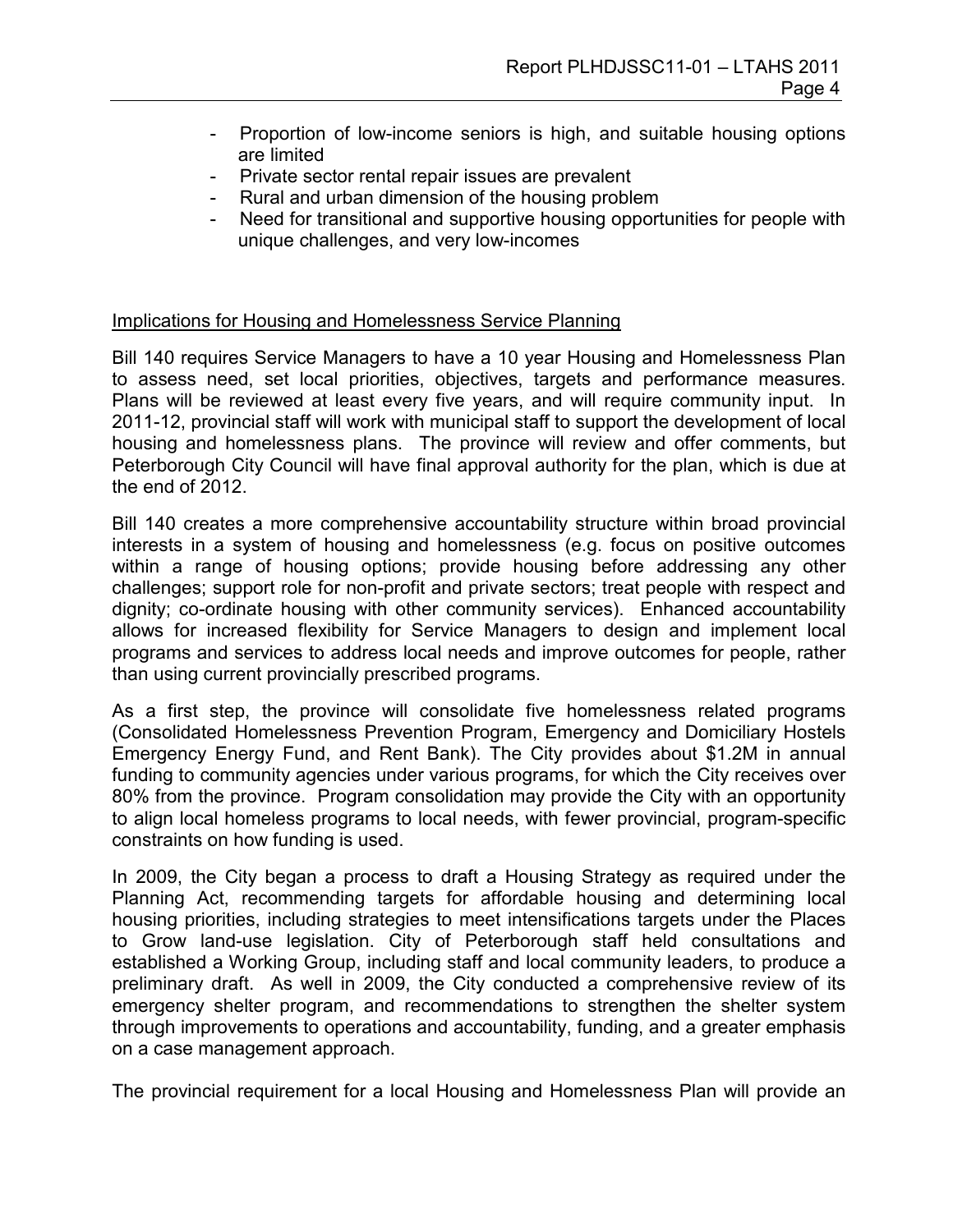- Proportion of low-income seniors is high, and suitable housing options are limited
- Private sector rental repair issues are prevalent
- Rural and urban dimension of the housing problem
- Need for transitional and supportive housing opportunities for people with unique challenges, and very low-incomes

### Implications for Housing and Homelessness Service Planning

Bill 140 requires Service Managers to have a 10 year Housing and Homelessness Plan to assess need, set local priorities, objectives, targets and performance measures. Plans will be reviewed at least every five years, and will require community input. In 2011-12, provincial staff will work with municipal staff to support the development of local housing and homelessness plans. The province will review and offer comments, but Peterborough City Council will have final approval authority for the plan, which is due at the end of 2012.

Bill 140 creates a more comprehensive accountability structure within broad provincial interests in a system of housing and homelessness (e.g. focus on positive outcomes within a range of housing options; provide housing before addressing any other challenges; support role for non-profit and private sectors; treat people with respect and dignity; co-ordinate housing with other community services). Enhanced accountability allows for increased flexibility for Service Managers to design and implement local programs and services to address local needs and improve outcomes for people, rather than using current provincially prescribed programs.

As a first step, the province will consolidate five homelessness related programs (Consolidated Homelessness Prevention Program, Emergency and Domiciliary Hostels Emergency Energy Fund, and Rent Bank). The City provides about \$1.2M in annual funding to community agencies under various programs, for which the City receives over 80% from the province. Program consolidation may provide the City with an opportunity to align local homeless programs to local needs, with fewer provincial, program-specific constraints on how funding is used.

In 2009, the City began a process to draft a Housing Strategy as required under the Planning Act, recommending targets for affordable housing and determining local housing priorities, including strategies to meet intensifications targets under the Places to Grow land-use legislation. City of Peterborough staff held consultations and established a Working Group, including staff and local community leaders, to produce a preliminary draft. As well in 2009, the City conducted a comprehensive review of its emergency shelter program, and recommendations to strengthen the shelter system through improvements to operations and accountability, funding, and a greater emphasis on a case management approach.

The provincial requirement for a local Housing and Homelessness Plan will provide an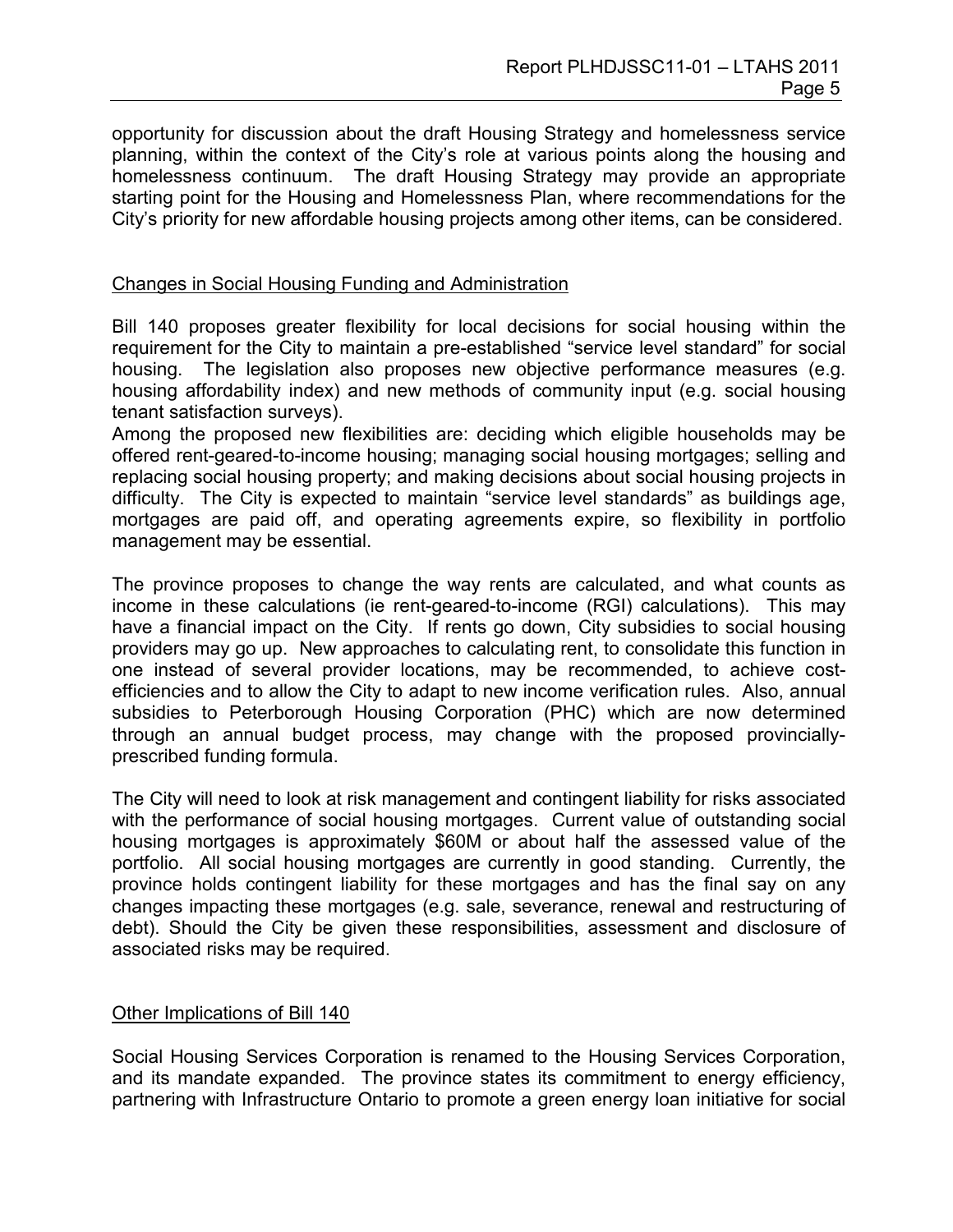opportunity for discussion about the draft Housing Strategy and homelessness service planning, within the context of the City's role at various points along the housing and homelessness continuum. The draft Housing Strategy may provide an appropriate starting point for the Housing and Homelessness Plan, where recommendations for the City's priority for new affordable housing projects among other items, can be considered.

#### Changes in Social Housing Funding and Administration

Bill 140 proposes greater flexibility for local decisions for social housing within the requirement for the City to maintain a pre-established "service level standard" for social housing. The legislation also proposes new objective performance measures (e.g. housing affordability index) and new methods of community input (e.g. social housing tenant satisfaction surveys).

Among the proposed new flexibilities are: deciding which eligible households may be offered rent-geared-to-income housing; managing social housing mortgages; selling and replacing social housing property; and making decisions about social housing projects in difficulty. The City is expected to maintain "service level standards" as buildings age, mortgages are paid off, and operating agreements expire, so flexibility in portfolio management may be essential.

The province proposes to change the way rents are calculated, and what counts as income in these calculations (ie rent-geared-to-income (RGI) calculations). This may have a financial impact on the City. If rents go down, City subsidies to social housing providers may go up. New approaches to calculating rent, to consolidate this function in one instead of several provider locations, may be recommended, to achieve costefficiencies and to allow the City to adapt to new income verification rules. Also, annual subsidies to Peterborough Housing Corporation (PHC) which are now determined through an annual budget process, may change with the proposed provinciallyprescribed funding formula.

The City will need to look at risk management and contingent liability for risks associated with the performance of social housing mortgages. Current value of outstanding social housing mortgages is approximately \$60M or about half the assessed value of the portfolio. All social housing mortgages are currently in good standing. Currently, the province holds contingent liability for these mortgages and has the final say on any changes impacting these mortgages (e.g. sale, severance, renewal and restructuring of debt). Should the City be given these responsibilities, assessment and disclosure of associated risks may be required.

#### Other Implications of Bill 140

Social Housing Services Corporation is renamed to the Housing Services Corporation, and its mandate expanded. The province states its commitment to energy efficiency, partnering with Infrastructure Ontario to promote a green energy loan initiative for social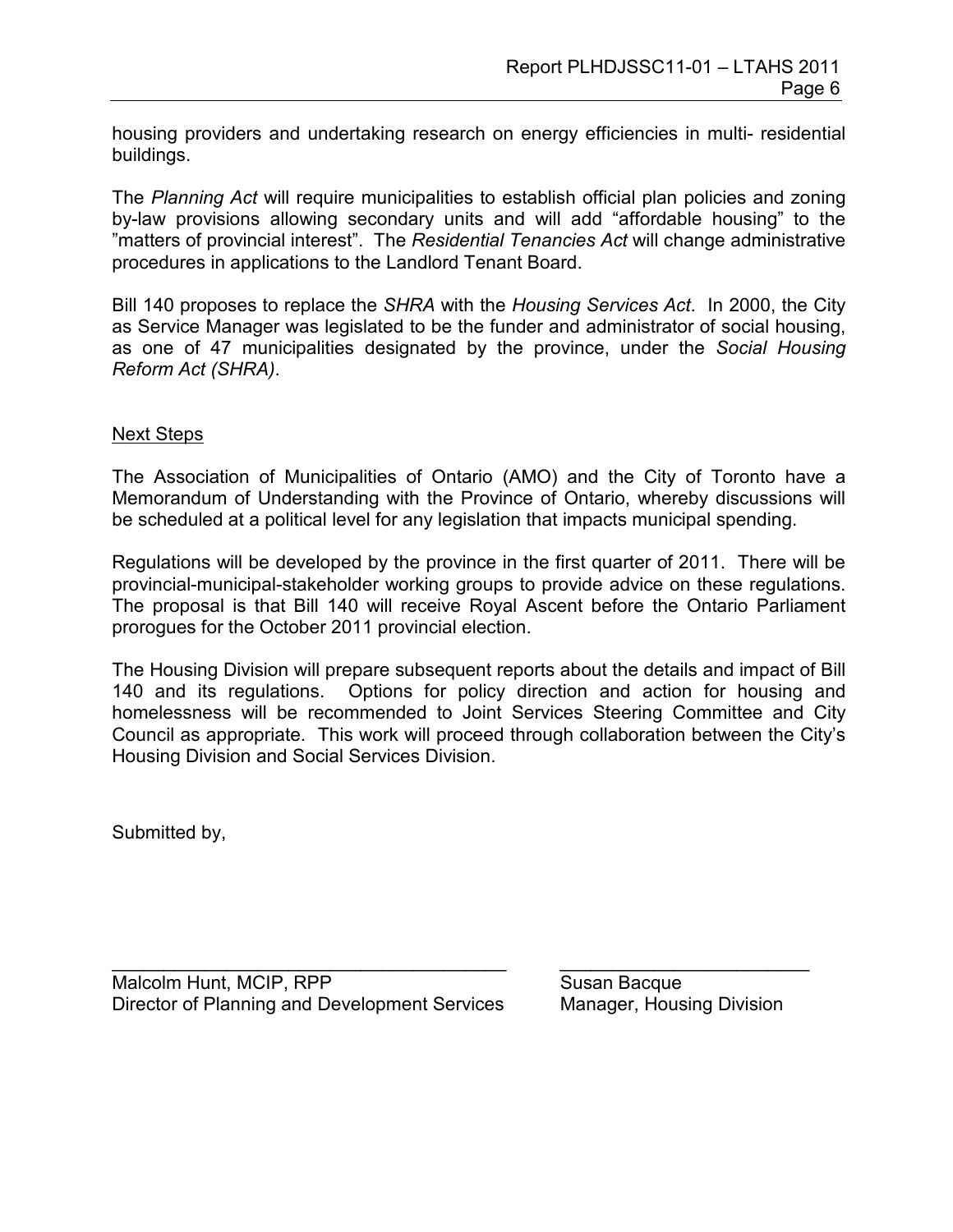housing providers and undertaking research on energy efficiencies in multi- residential buildings.

The *Planning Act* will require municipalities to establish official plan policies and zoning by-law provisions allowing secondary units and will add "affordable housing" to the "matters of provincial interest". The *Residential Tenancies Act* will change administrative procedures in applications to the Landlord Tenant Board.

Bill 140 proposes to replace the *SHRA* with the *Housing Services Act*. In 2000, the City as Service Manager was legislated to be the funder and administrator of social housing, as one of 47 municipalities designated by the province, under the *Social Housing Reform Act (SHRA)*.

#### Next Steps

The Association of Municipalities of Ontario (AMO) and the City of Toronto have a Memorandum of Understanding with the Province of Ontario, whereby discussions will be scheduled at a political level for any legislation that impacts municipal spending.

Regulations will be developed by the province in the first quarter of 2011. There will be provincial-municipal-stakeholder working groups to provide advice on these regulations. The proposal is that Bill 140 will receive Royal Ascent before the Ontario Parliament prorogues for the October 2011 provincial election.

The Housing Division will prepare subsequent reports about the details and impact of Bill 140 and its regulations. Options for policy direction and action for housing and homelessness will be recommended to Joint Services Steering Committee and City Council as appropriate. This work will proceed through collaboration between the City's Housing Division and Social Services Division.

\_\_\_\_\_\_\_\_\_\_\_\_\_\_\_\_\_\_\_\_\_\_\_\_\_\_\_\_\_\_\_\_\_\_\_\_\_\_ \_\_\_\_\_\_\_\_\_\_\_\_\_\_\_\_\_\_\_\_\_\_\_\_

Submitted by,

Malcolm Hunt, MCIP, RPP Susan Bacque Director of Planning and Development Services Manager, Housing Division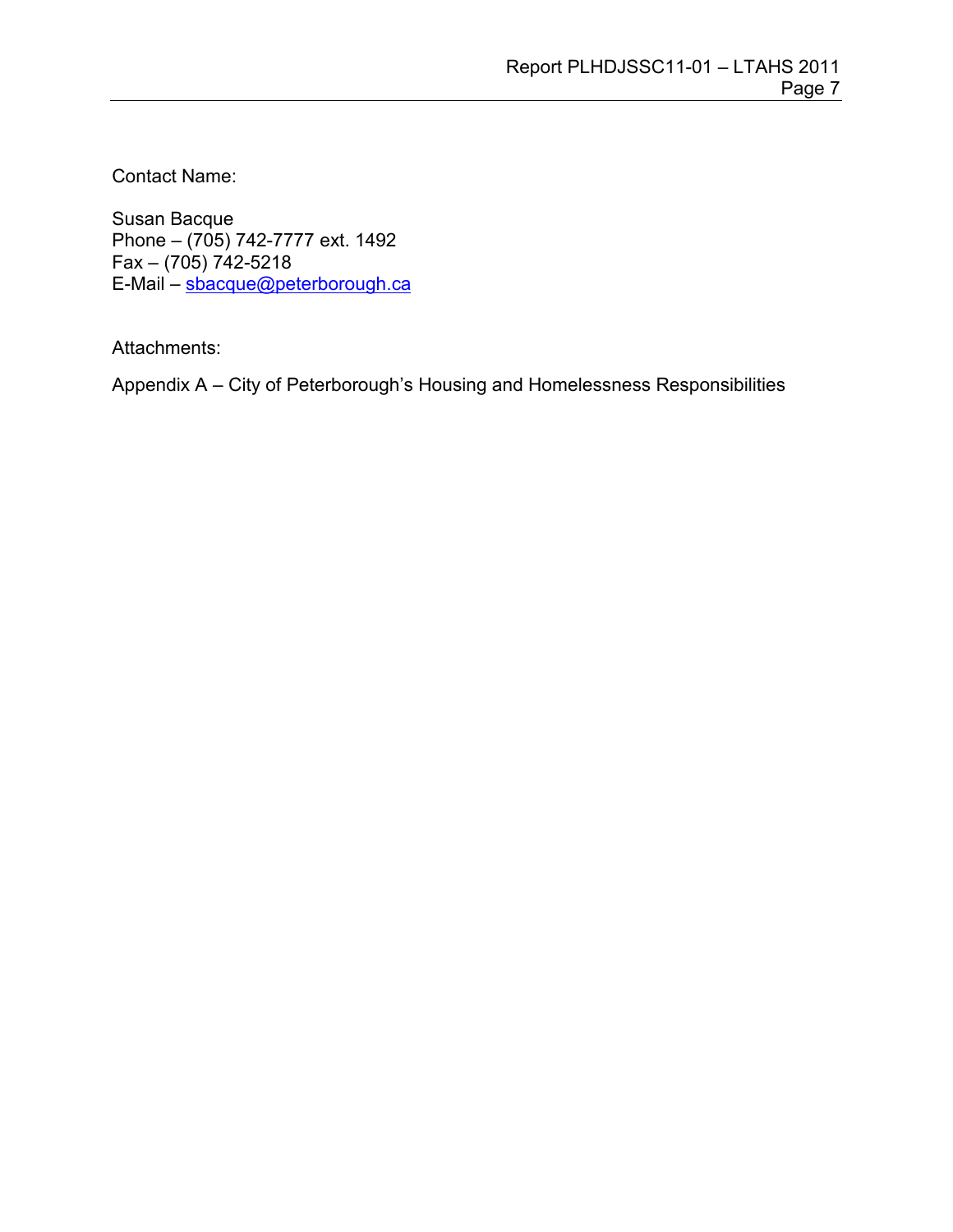Contact Name:

Susan Bacque Phone – (705) 742-7777 ext. 1492 Fax –  $(705)$  742-5218 E-Mail – [sbacque@peterborough.ca](mailto:sbacque@peterborough.ca)

Attachments:

Appendix A – City of Peterborough's Housing and Homelessness Responsibilities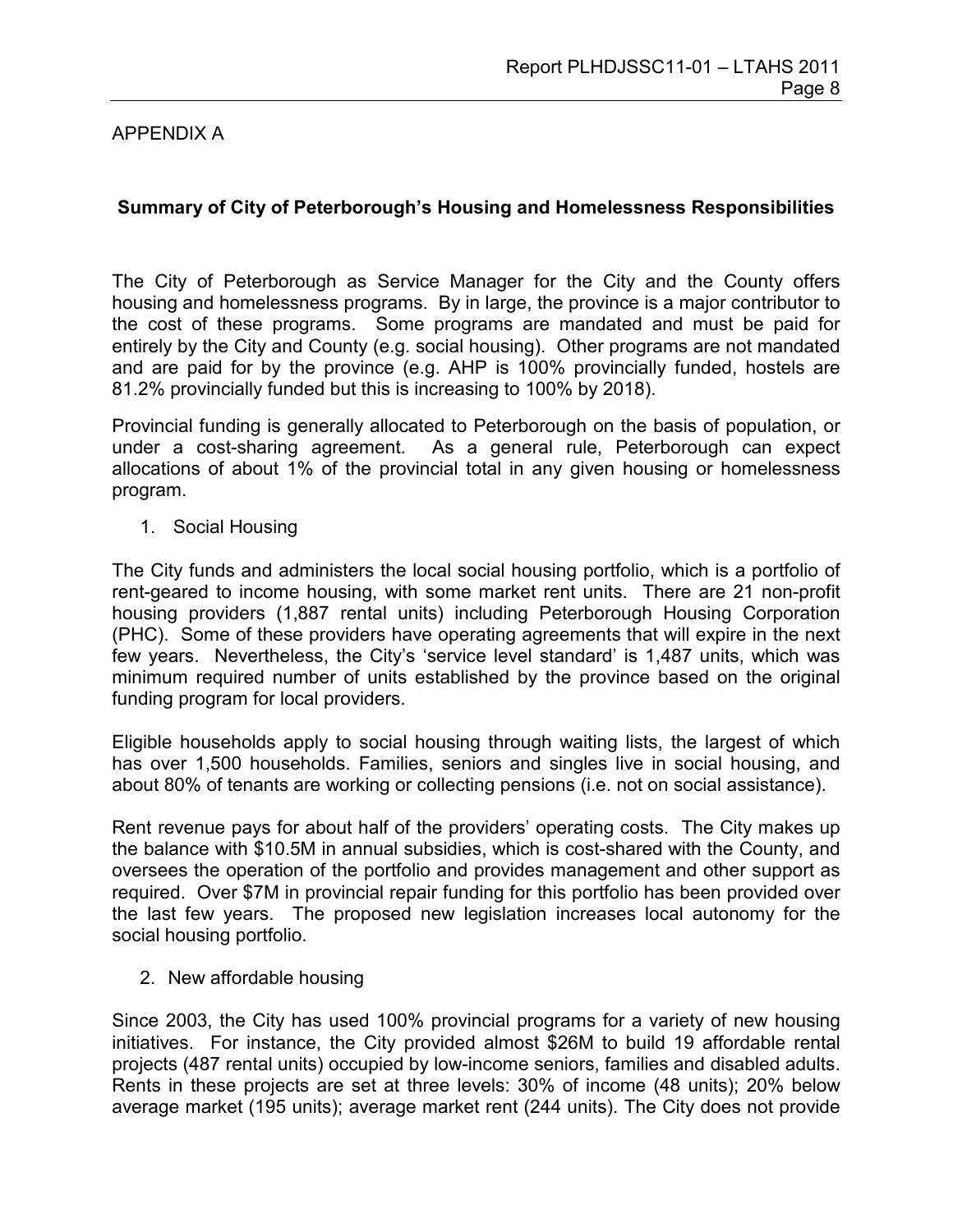## APPENDIX A

## **Summary of City of Peterborough's Housing and Homelessness Responsibilities**

The City of Peterborough as Service Manager for the City and the County offers housing and homelessness programs. By in large, the province is a major contributor to the cost of these programs. Some programs are mandated and must be paid for entirely by the City and County (e.g. social housing). Other programs are not mandated and are paid for by the province (e.g. AHP is 100% provincially funded, hostels are 81.2% provincially funded but this is increasing to 100% by 2018).

Provincial funding is generally allocated to Peterborough on the basis of population, or under a cost-sharing agreement. As a general rule, Peterborough can expect allocations of about 1% of the provincial total in any given housing or homelessness program.

1. Social Housing

The City funds and administers the local social housing portfolio, which is a portfolio of rent-geared to income housing, with some market rent units. There are 21 non-profit housing providers (1,887 rental units) including Peterborough Housing Corporation (PHC). Some of these providers have operating agreements that will expire in the next few years. Nevertheless, the City's 'service level standard' is 1,487 units, which was minimum required number of units established by the province based on the original funding program for local providers.

Eligible households apply to social housing through waiting lists, the largest of which has over 1,500 households. Families, seniors and singles live in social housing, and about 80% of tenants are working or collecting pensions (i.e. not on social assistance).

Rent revenue pays for about half of the providers' operating costs. The City makes up the balance with \$10.5M in annual subsidies, which is cost-shared with the County, and oversees the operation of the portfolio and provides management and other support as required. Over \$7M in provincial repair funding for this portfolio has been provided over the last few years. The proposed new legislation increases local autonomy for the social housing portfolio.

2. New affordable housing

Since 2003, the City has used 100% provincial programs for a variety of new housing initiatives. For instance, the City provided almost \$26M to build 19 affordable rental projects (487 rental units) occupied by low-income seniors, families and disabled adults. Rents in these projects are set at three levels: 30% of income (48 units); 20% below average market (195 units); average market rent (244 units). The City does not provide